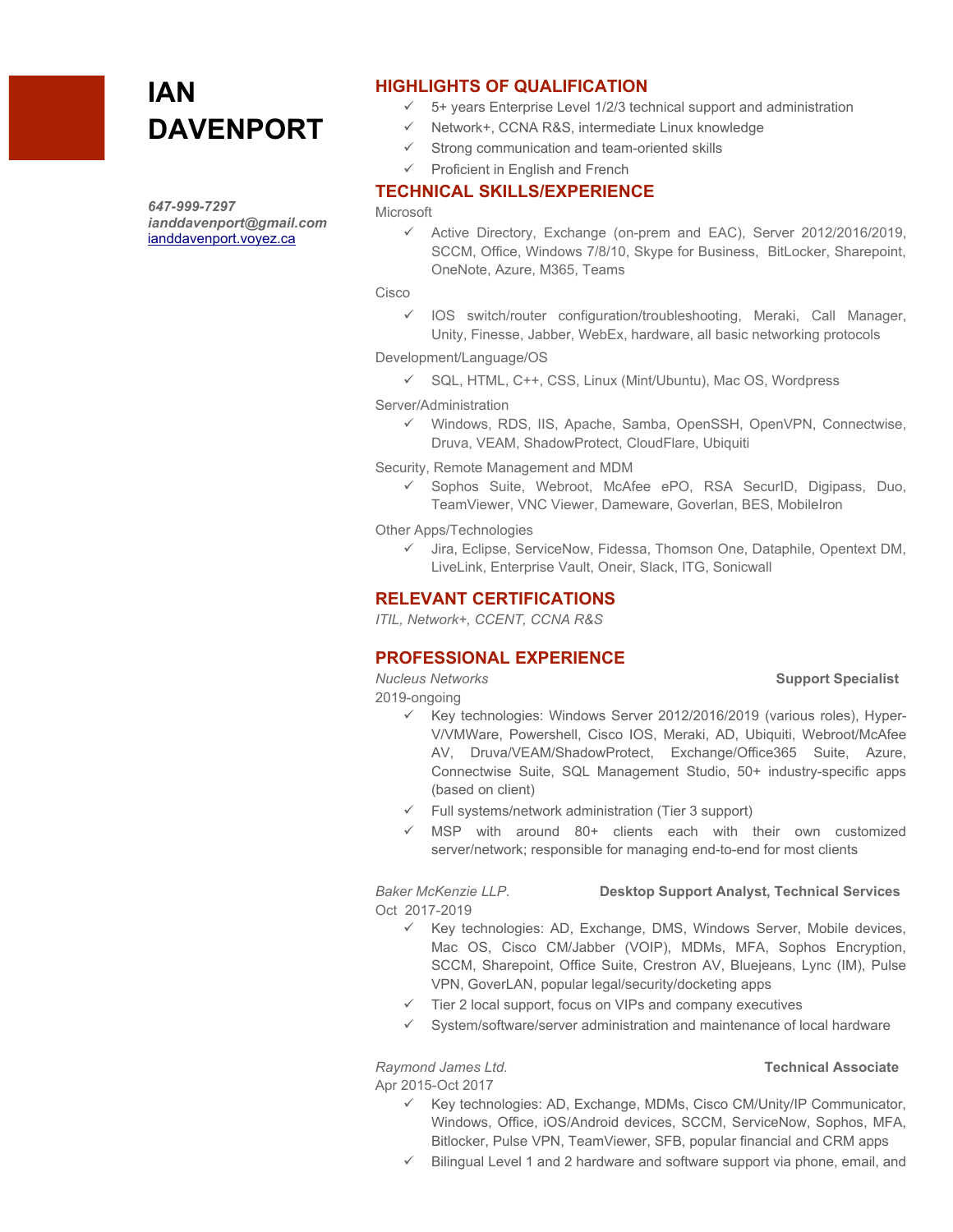# **IAN DAVENPORT**

*647-999-7297 ianddavenport@gmail.com* [ianddavenport.voyez.ca](http://ianddavenport.voyez.ca/)

# **HIGHLIGHTS OF QUALIFICATION**

- $\checkmark$  5+ years Enterprise Level 1/2/3 technical support and administration
- $\checkmark$  Network+, CCNA R&S, intermediate Linux knowledge
- Strong communication and team-oriented skills
- $\checkmark$  Proficient in English and French

# **TECHNICAL SKILLS/EXPERIENCE**

### **Microsoft**

 Active Directory, Exchange (on-prem and EAC), Server 2012/2016/2019, SCCM, Office, Windows 7/8/10, Skype for Business, BitLocker, Sharepoint, OneNote, Azure, M365, Teams

Cisco

 $\checkmark$  IOS switch/router configuration/troubleshooting, Meraki, Call Manager, Unity, Finesse, Jabber, WebEx, hardware, all basic networking protocols

Development/Language/OS

 $\checkmark$  SQL, HTML, C++, CSS, Linux (Mint/Ubuntu), Mac OS, Wordpress

Server/Administration

 $\checkmark$  Windows, RDS, IIS, Apache, Samba, OpenSSH, OpenVPN, Connectwise, Druva, VEAM, ShadowProtect, CloudFlare, Ubiquiti

Security, Remote Management and MDM

Sophos Suite, Webroot, McAfee ePO, RSA SecurID, Digipass, Duo, TeamViewer, VNC Viewer, Dameware, Goverlan, BES, MobileIron

Other Apps/Technologies

 $\checkmark$  Jira, Eclipse, ServiceNow, Fidessa, Thomson One, Dataphile, Opentext DM, LiveLink, Enterprise Vault, Oneir, Slack, ITG, Sonicwall

## **RELEVANT CERTIFICATIONS**

*ITIL, Network+, CCENT, CCNA R&S*

# **PROFESSIONAL EXPERIENCE**

### *Nucleus Networks* **Support Specialist**

2019-ongoing

- $\checkmark$  Key technologies: Windows Server 2012/2016/2019 (various roles), Hyper-V/VMWare, Powershell, Cisco IOS, Meraki, AD, Ubiquiti, Webroot/McAfee AV, Druva/VEAM/ShadowProtect, Exchange/Office365 Suite, Azure, Connectwise Suite, SQL Management Studio, 50+ industry-specific apps (based on client)
- $\checkmark$  Full systems/network administration (Tier 3 support)
- $\checkmark$  MSP with around 80+ clients each with their own customized server/network; responsible for managing end-to-end for most clients

*Baker McKenzie LLP.* **Desktop Support Analyst, Technical Services** Oct 2017-2019

- $\checkmark$  Key technologies: AD, Exchange, DMS, Windows Server, Mobile devices, Mac OS, Cisco CM/Jabber (VOIP), MDMs, MFA, Sophos Encryption, SCCM, Sharepoint, Office Suite, Crestron AV, Bluejeans, Lync (IM), Pulse VPN, GoverLAN, popular legal/security/docketing apps
- $\checkmark$  Tier 2 local support, focus on VIPs and company executives
- System/software/server administration and maintenance of local hardware

*Raymond James Ltd.* **Technical Associate**

Apr 2015-Oct 2017

- $\checkmark$  Key technologies: AD, Exchange, MDMs, Cisco CM/Unity/IP Communicator, Windows, Office, iOS/Android devices, SCCM, ServiceNow, Sophos, MFA, Bitlocker, Pulse VPN, TeamViewer, SFB, popular financial and CRM apps
- Bilingual Level 1 and 2 hardware and software support via phone, email, and